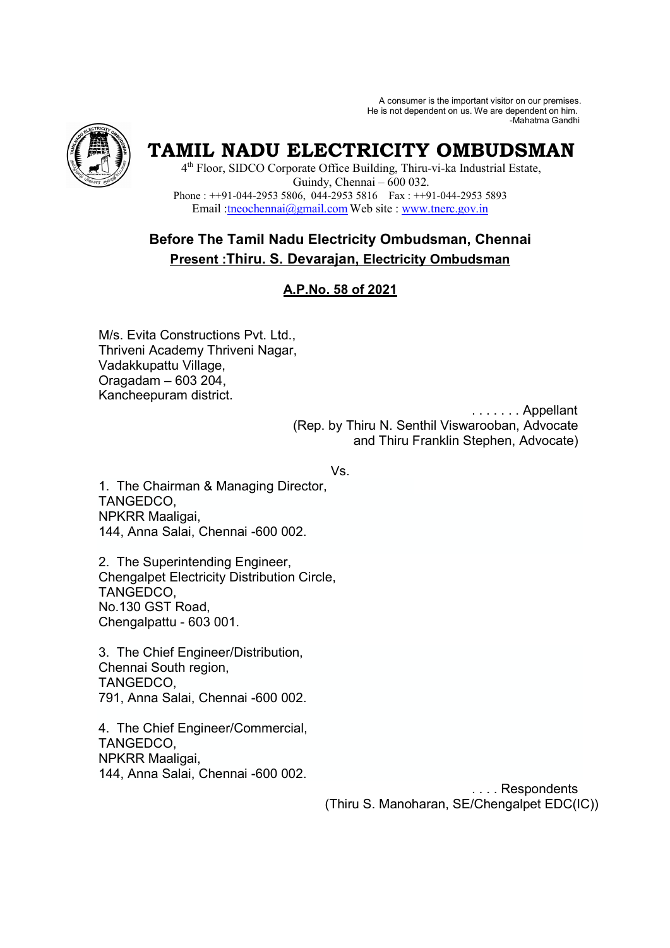A consumer is the important visitor on our premises. He is not dependent on us. We are dependent on him. -Mahatma Gandhi



# **TAMIL NADU ELECTRICITY OMBUDSMAN**

4 th Floor, SIDCO Corporate Office Building, Thiru-vi-ka Industrial Estate, Guindy, Chennai – 600 032. Phone : ++91-044-2953 5806, 044-2953 5816 Fax : ++91-044-2953 5893 Email :tneochennai@gmail.com Web site : www.tnerc.gov.in

# **Before The Tamil Nadu Electricity Ombudsman, Chennai Present :Thiru. S. Devarajan, Electricity Ombudsman**

# **A.P.No. 58 of 2021**

M/s. Evita Constructions Pvt. Ltd., Thriveni Academy Thriveni Nagar, Vadakkupattu Village, Oragadam – 603 204, Kancheepuram district.

. . . . . . . Appellant

 (Rep. by Thiru N. Senthil Viswarooban, Advocate and Thiru Franklin Stephen, Advocate)

Vs.

1. The Chairman & Managing Director, TANGEDCO, NPKRR Maaligai, 144, Anna Salai, Chennai -600 002.

2. The Superintending Engineer, Chengalpet Electricity Distribution Circle, TANGEDCO, No.130 GST Road, Chengalpattu - 603 001.

3. The Chief Engineer/Distribution, Chennai South region, TANGEDCO, 791, Anna Salai, Chennai -600 002.

4. The Chief Engineer/Commercial, TANGEDCO, NPKRR Maaligai, 144, Anna Salai, Chennai -600 002.

 . . . . Respondents (Thiru S. Manoharan, SE/Chengalpet EDC(IC))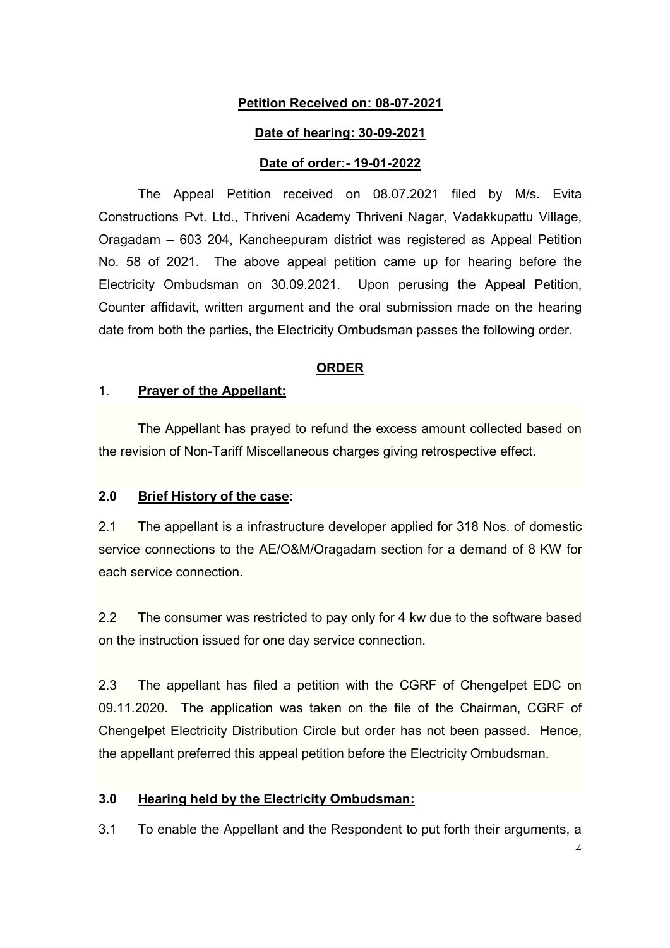# **Petition Received on: 08-07-2021**

#### **Date of hearing: 30-09-2021**

#### **Date of order:- 19-01-2022**

The Appeal Petition received on 08.07.2021 filed by M/s. Evita Constructions Pvt. Ltd., Thriveni Academy Thriveni Nagar, Vadakkupattu Village, Oragadam – 603 204, Kancheepuram district was registered as Appeal Petition No. 58 of 2021. The above appeal petition came up for hearing before the Electricity Ombudsman on 30.09.2021. Upon perusing the Appeal Petition, Counter affidavit, written argument and the oral submission made on the hearing date from both the parties, the Electricity Ombudsman passes the following order.

#### **ORDER**

#### 1. **Prayer of the Appellant:**

The Appellant has prayed to refund the excess amount collected based on the revision of Non-Tariff Miscellaneous charges giving retrospective effect.

#### **2.0 Brief History of the case:**

2.1 The appellant is a infrastructure developer applied for 318 Nos. of domestic service connections to the AE/O&M/Oragadam section for a demand of 8 KW for each service connection.

2.2 The consumer was restricted to pay only for 4 kw due to the software based on the instruction issued for one day service connection.

2.3 The appellant has filed a petition with the CGRF of Chengelpet EDC on 09.11.2020. The application was taken on the file of the Chairman, CGRF of Chengelpet Electricity Distribution Circle but order has not been passed. Hence, the appellant preferred this appeal petition before the Electricity Ombudsman.

#### **3.0 Hearing held by the Electricity Ombudsman:**

3.1 To enable the Appellant and the Respondent to put forth their arguments, a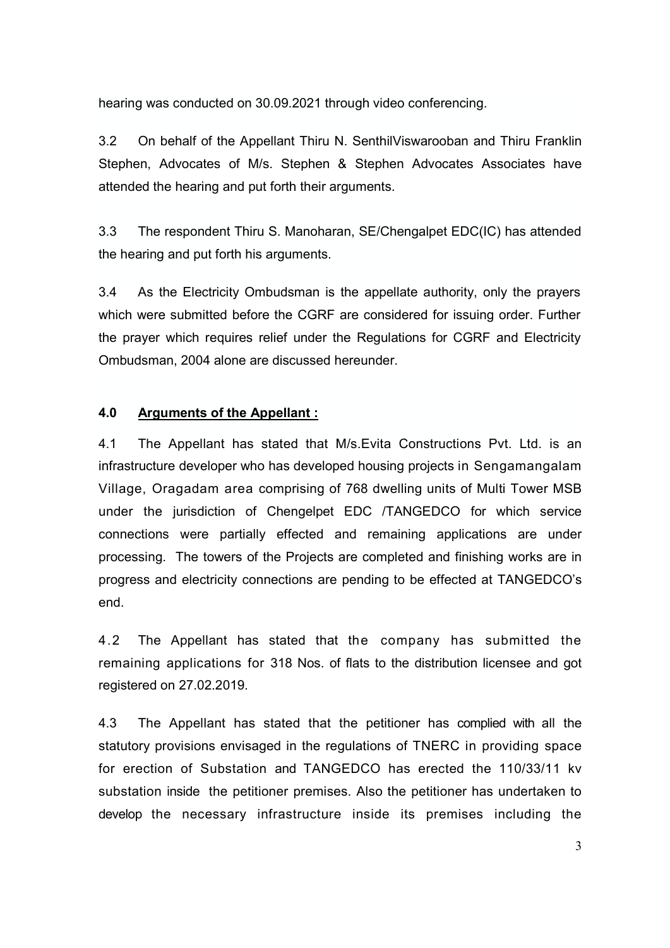hearing was conducted on 30.09.2021 through video conferencing.

3.2 On behalf of the Appellant Thiru N. SenthilViswarooban and Thiru Franklin Stephen, Advocates of M/s. Stephen & Stephen Advocates Associates have attended the hearing and put forth their arguments.

3.3 The respondent Thiru S. Manoharan, SE/Chengalpet EDC(IC) has attended the hearing and put forth his arguments.

3.4 As the Electricity Ombudsman is the appellate authority, only the prayers which were submitted before the CGRF are considered for issuing order. Further the prayer which requires relief under the Regulations for CGRF and Electricity Ombudsman, 2004 alone are discussed hereunder.

### **4.0 Arguments of the Appellant :**

4.1 The Appellant has stated that M/s.Evita Constructions Pvt. Ltd. is an infrastructure developer who has developed housing projects in Sengamangalam Village, Oragadam area comprising of 768 dwelling units of Multi Tower MSB under the jurisdiction of Chengelpet EDC /TANGEDCO for which service connections were partially effected and remaining applications are under processing. The towers of the Projects are completed and finishing works are in progress and electricity connections are pending to be effected at TANGEDCO's end.

4.2 The Appellant has stated that the company has submitted the remaining applications for 318 Nos. of flats to the distribution licensee and got registered on 27.02.2019.

4.3 The Appellant has stated that the petitioner has complied with all the statutory provisions envisaged in the regulations of TNERC in providing space for erection of Substation and TANGEDCO has erected the 110/33/11 kv substation inside the petitioner premises. Also the petitioner has undertaken to develop the necessary infrastructure inside its premises including the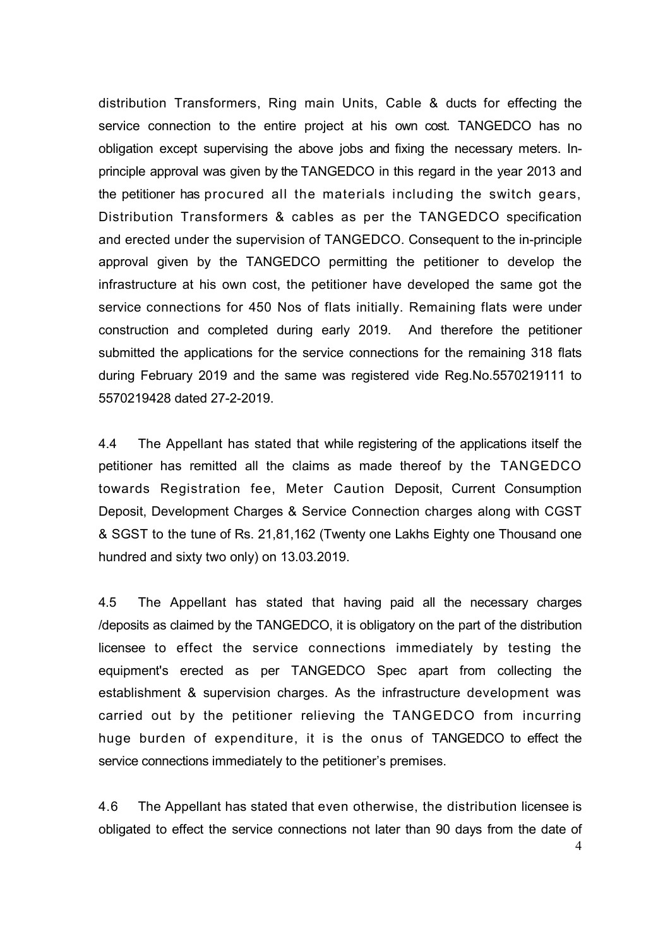distribution Transformers, Ring main Units, Cable & ducts for effecting the service connection to the entire project at his own cost. TANGEDCO has no obligation except supervising the above jobs and fixing the necessary meters. Inprinciple approval was given by the TANGEDCO in this regard in the year 2013 and the petitioner has procured all the materials including the switch gears, Distribution Transformers & cables as per the TANGEDCO specification and erected under the supervision of TANGEDCO. Consequent to the in-principle approval given by the TANGEDCO permitting the petitioner to develop the infrastructure at his own cost, the petitioner have developed the same got the service connections for 450 Nos of flats initially. Remaining flats were under construction and completed during early 2019. And therefore the petitioner submitted the applications for the service connections for the remaining 318 flats during February 2019 and the same was registered vide Reg.No.5570219111 to 5570219428 dated 27-2-2019.

4.4 The Appellant has stated that while registering of the applications itself the petitioner has remitted all the claims as made thereof by the TANGEDCO towards Registration fee, Meter Caution Deposit, Current Consumption Deposit, Development Charges & Service Connection charges along with CGST & SGST to the tune of Rs. 21,81,162 (Twenty one Lakhs Eighty one Thousand one hundred and sixty two only) on 13.03.2019.

4.5 The Appellant has stated that having paid all the necessary charges /deposits as claimed by the TANGEDCO, it is obligatory on the part of the distribution licensee to effect the service connections immediately by testing the equipment's erected as per TANGEDCO Spec apart from collecting the establishment & supervision charges. As the infrastructure development was carried out by the petitioner relieving the TANGEDCO from incurring huge burden of expenditure, it is the onus of TANGEDCO to effect the service connections immediately to the petitioner's premises.

4.6 The Appellant has stated that even otherwise, the distribution licensee is obligated to effect the service connections not later than 90 days from the date of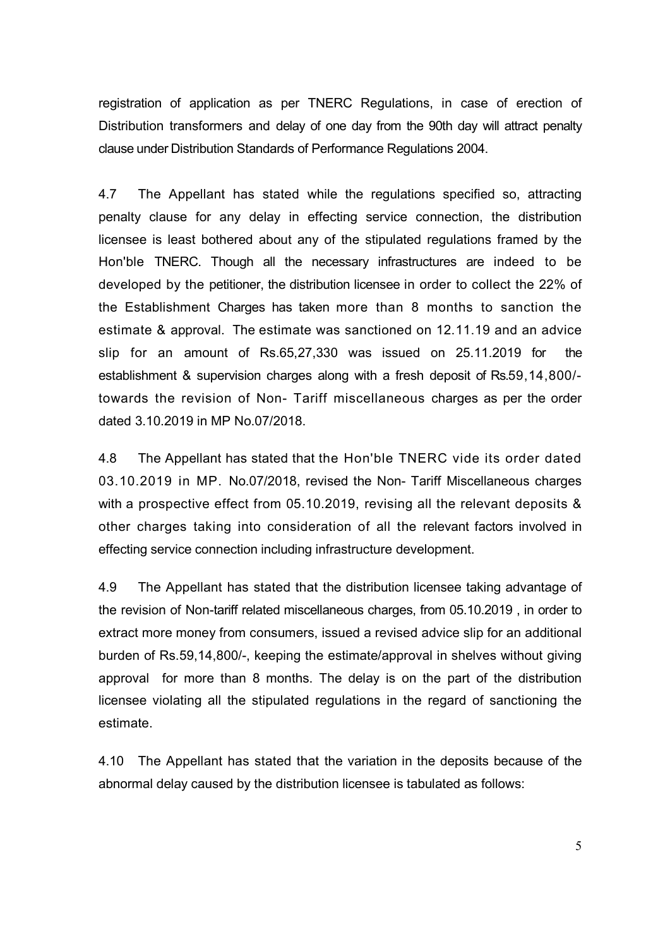registration of application as per TNERC Regulations, in case of erection of Distribution transformers and delay of one day from the 90th day will attract penalty clause under Distribution Standards of Performance Regulations 2004.

4.7 The Appellant has stated while the regulations specified so, attracting penalty clause for any delay in effecting service connection, the distribution licensee is least bothered about any of the stipulated regulations framed by the Hon'ble TNERC. Though all the necessary infrastructures are indeed to be developed by the petitioner, the distribution licensee in order to collect the 22% of the Establishment Charges has taken more than 8 months to sanction the estimate & approval. The estimate was sanctioned on 12.11.19 and an advice slip for an amount of Rs.65,27,330 was issued on 25.11.2019 for the establishment & supervision charges along with a fresh deposit of Rs.59,14,800/ towards the revision of Non- Tariff miscellaneous charges as per the order dated 3.10.2019 in MP No.07/2018.

4.8 The Appellant has stated that the Hon'ble TNERC vide its order dated 03.10.2019 in MP. No.07/2018, revised the Non- Tariff Miscellaneous charges with a prospective effect from 05.10.2019, revising all the relevant deposits & other charges taking into consideration of all the relevant factors involved in effecting service connection including infrastructure development.

4.9 The Appellant has stated that the distribution licensee taking advantage of the revision of Non-tariff related miscellaneous charges, from 05.10.2019 , in order to extract more money from consumers, issued a revised advice slip for an additional burden of Rs.59,14,800/-, keeping the estimate/approval in shelves without giving approval for more than 8 months. The delay is on the part of the distribution licensee violating all the stipulated regulations in the regard of sanctioning the estimate.

4.10 The Appellant has stated that the variation in the deposits because of the abnormal delay caused by the distribution licensee is tabulated as follows: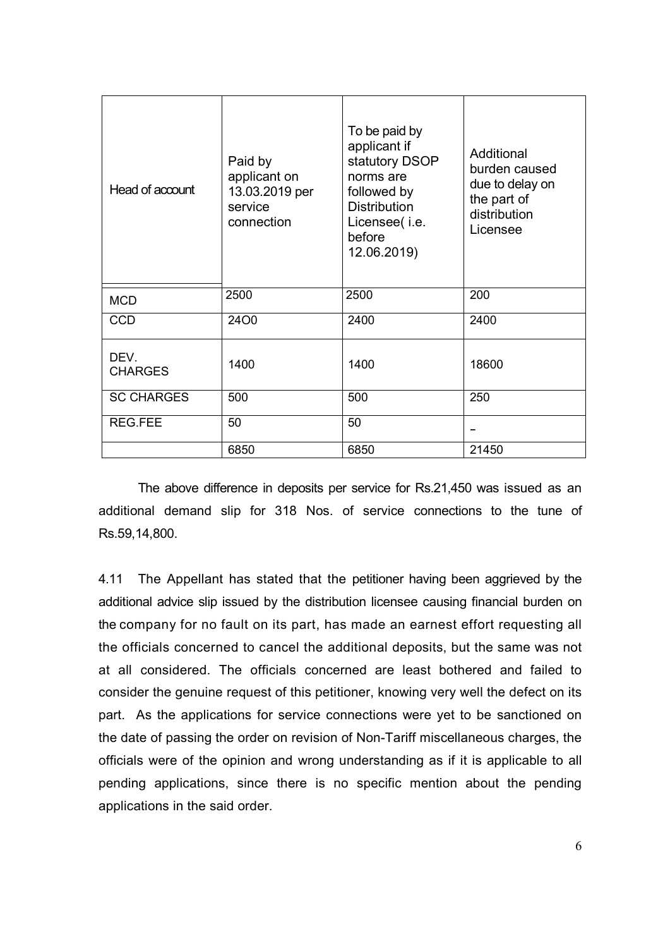| Head of account        | Paid by<br>applicant on<br>13.03.2019 per<br>service<br>connection | To be paid by<br>applicant if<br>statutory DSOP<br>norms are<br>followed by<br><b>Distribution</b><br>Licensee(i.e.<br>before<br>12.06.2019) | Additional<br>burden caused<br>due to delay on<br>the part of<br>distribution<br>Licensee |
|------------------------|--------------------------------------------------------------------|----------------------------------------------------------------------------------------------------------------------------------------------|-------------------------------------------------------------------------------------------|
| <b>MCD</b>             | 2500                                                               | 2500                                                                                                                                         | 200                                                                                       |
| <b>CCD</b>             | 2400                                                               | 2400                                                                                                                                         | 2400                                                                                      |
| DEV.<br><b>CHARGES</b> | 1400                                                               | 1400                                                                                                                                         | 18600                                                                                     |
| <b>SC CHARGES</b>      | 500                                                                | 500                                                                                                                                          | 250                                                                                       |
| <b>REG.FEE</b>         | 50                                                                 | 50                                                                                                                                           |                                                                                           |
|                        | 6850                                                               | 6850                                                                                                                                         | 21450                                                                                     |

 The above difference in deposits per service for Rs.21,450 was issued as an additional demand slip for 318 Nos. of service connections to the tune of Rs.59,14,800.

4.11 The Appellant has stated that the petitioner having been aggrieved by the additional advice slip issued by the distribution licensee causing financial burden on the company for no fault on its part, has made an earnest effort requesting all the officials concerned to cancel the additional deposits, but the same was not at all considered. The officials concerned are least bothered and failed to consider the genuine request of this petitioner, knowing very well the defect on its part. As the applications for service connections were yet to be sanctioned on the date of passing the order on revision of Non-Tariff miscellaneous charges, the officials were of the opinion and wrong understanding as if it is applicable to all pending applications, since there is no specific mention about the pending applications in the said order.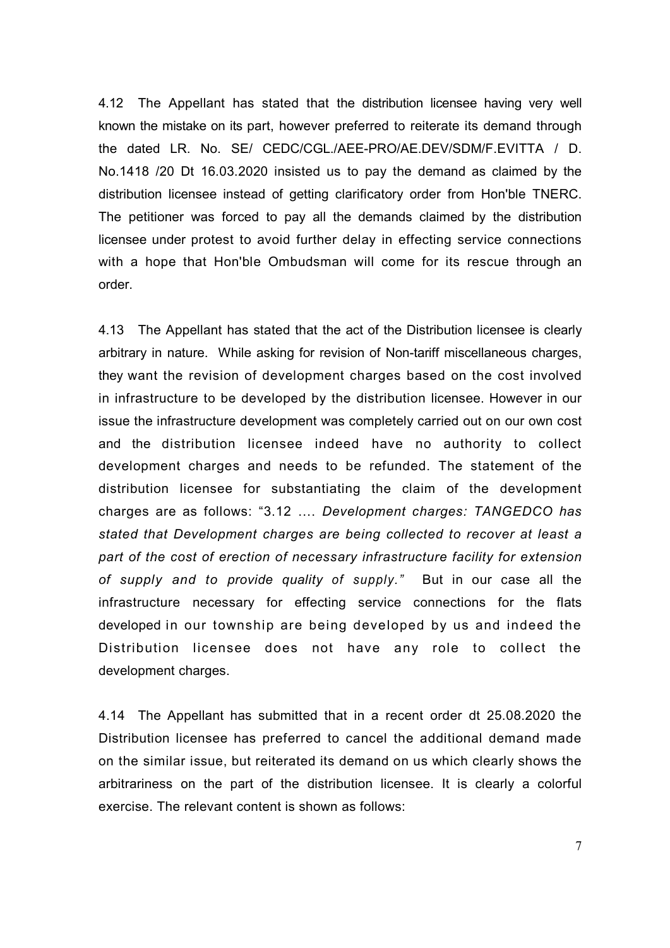4.12 The Appellant has stated that the distribution licensee having very well known the mistake on its part, however preferred to reiterate its demand through the dated LR. No. SE/ CEDC/CGL./AEE-PRO/AE.DEV/SDM/F.EVITTA / D. No.1418 /20 Dt 16.03.2020 insisted us to pay the demand as claimed by the distribution licensee instead of getting clarificatory order from Hon'ble TNERC. The petitioner was forced to pay all the demands claimed by the distribution licensee under protest to avoid further delay in effecting service connections with a hope that Hon'ble Ombudsman will come for its rescue through an order.

4.13 The Appellant has stated that the act of the Distribution licensee is clearly arbitrary in nature. While asking for revision of Non-tariff miscellaneous charges, they want the revision of development charges based on the cost involved in infrastructure to be developed by the distribution licensee. However in our issue the infrastructure development was completely carried out on our own cost and the distribution licensee indeed have no authority to collect development charges and needs to be refunded. The statement of the distribution licensee for substantiating the claim of the development charges are as follows: "3.12 .... Development charges: TANGEDCO has *stated that Development charges are being collected to recover at least a part of the cost of erection of necessary infrastructure facility for extension of supply and to provide quality of supply."* But in our case all the infrastructure necessary for effecting service connections for the flats developed in our township are being developed by us and indeed the Distribution licensee does not have any role to collect the development charges.

4.14 The Appellant has submitted that in a recent order dt 25.08.2020 the Distribution licensee has preferred to cancel the additional demand made on the similar issue, but reiterated its demand on us which clearly shows the arbitrariness on the part of the distribution licensee. It is clearly a colorful exercise. The relevant content is shown as follows:

7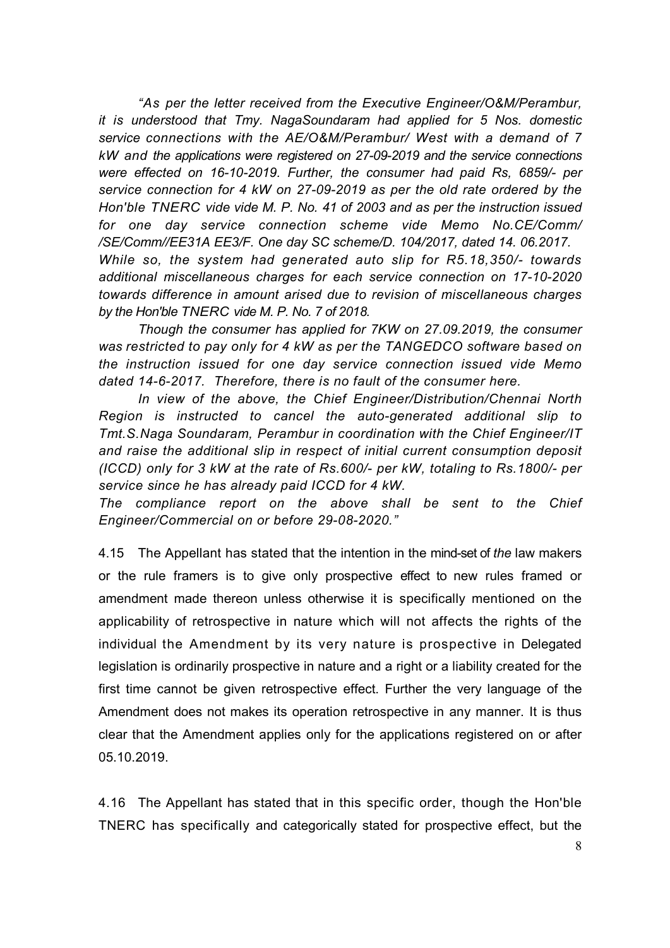*"As per the letter received from the Executive Engineer/O&M/Perambur, it is understood that Tmy. NagaSoundaram had applied for 5 Nos. domestic service connections with the AE/O&M/Perambur/ West with a demand of 7 kW and the applications were registered on 27-09-2019 and the service connections were effected on 16-10-2019. Further, the consumer had paid Rs, 6859/- per service connection for 4 kW on 27-09-2019 as per the old rate ordered by the Hon'ble TNERC vide vide M. P. No. 41 of 2003 and as per the instruction issued for one day service connection scheme vide Memo No.CE/Comm/ /SE/Comm//EE31A EE3/F. One day SC scheme/D. 104/2017, dated 14. 06.2017. While so, the system had generated auto slip for R5.18,350/- towards additional miscellaneous charges for each service connection on 17-10-2020 towards difference in amount arised due to revision of miscellaneous charges by the Hon'ble TNERC vide M. P. No. 7 of 2018.* 

*Though the consumer has applied for 7KW on 27.09.2019, the consumer was restricted to pay only for 4 kW as per the TANGEDCO software based on the instruction issued for one day service connection issued vide Memo dated 14-6-2017. Therefore, there is no fault of the consumer here.* 

 *In view of the above, the Chief Engineer/Distribution/Chennai North Region is instructed to cancel the auto-generated additional slip to Tmt.S.Naga Soundaram, Perambur in coordination with the Chief Engineer/IT and raise the additional slip in respect of initial current consumption deposit (ICCD) only for 3 kW at the rate of Rs.600/- per kW, totaling to Rs.1800/- per service since he has already paid ICCD for 4 kW.* 

*The compliance report on the above shall be sent to the Chief Engineer/Commercial on or before 29-08-2020."* 

4.15 The Appellant has stated that the intention in the mind-set of *the* law makers or the rule framers is to give only prospective effect to new rules framed or amendment made thereon unless otherwise it is specifically mentioned on the applicability of retrospective in nature which will not affects the rights of the individual the Amendment by its very nature is prospective in Delegated legislation is ordinarily prospective in nature and a right or a liability created for the first time cannot be given retrospective effect. Further the very language of the Amendment does not makes its operation retrospective in any manner. It is thus clear that the Amendment applies only for the applications registered on or after 05.10.2019.

4.16 The Appellant has stated that in this specific order, though the Hon'ble TNERC has specifically and categorically stated for prospective effect, but the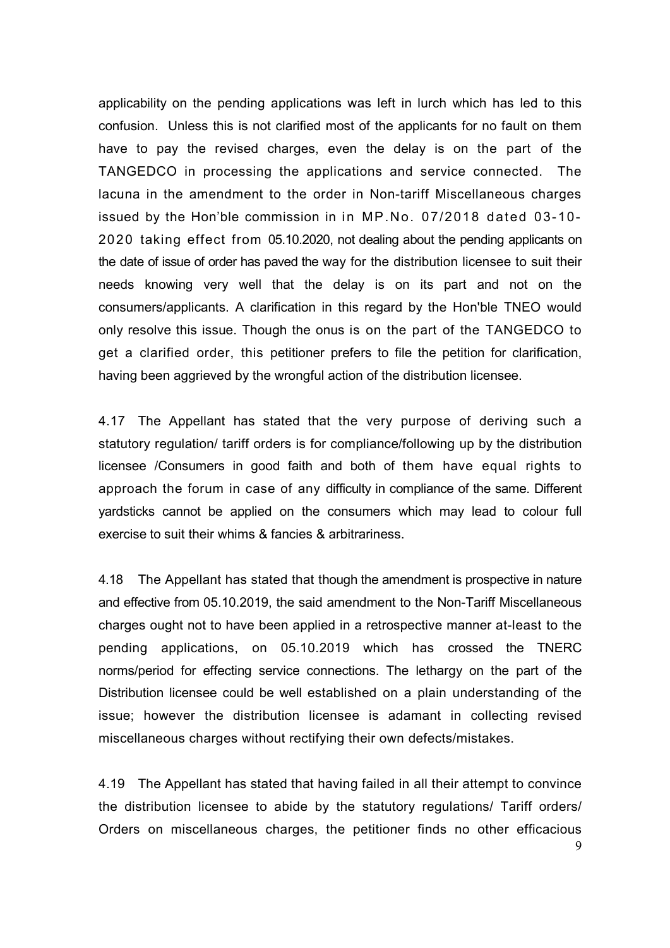applicability on the pending applications was left in lurch which has led to this confusion. Unless this is not clarified most of the applicants for no fault on them have to pay the revised charges, even the delay is on the part of the TANGEDCO in processing the applications and service connected. The lacuna in the amendment to the order in Non-tariff Miscellaneous charges issued by the Hon'ble commission in in MP.No. 07/2018 dated 03-10- 2020 taking effect from 05.10.2020, not dealing about the pending applicants on the date of issue of order has paved the way for the distribution licensee to suit their needs knowing very well that the delay is on its part and not on the consumers/applicants. A clarification in this regard by the Hon'ble TNEO would only resolve this issue. Though the onus is on the part of the TANGEDCO to get a clarified order, this petitioner prefers to file the petition for clarification, having been aggrieved by the wrongful action of the distribution licensee.

4.17 The Appellant has stated that the very purpose of deriving such a statutory regulation/ tariff orders is for compliance/following up by the distribution licensee /Consumers in good faith and both of them have equal rights to approach the forum in case of any difficulty in compliance of the same. Different yardsticks cannot be applied on the consumers which may lead to colour full exercise to suit their whims & fancies & arbitrariness.

4.18 The Appellant has stated that though the amendment is prospective in nature and effective from 05.10.2019, the said amendment to the Non-Tariff Miscellaneous charges ought not to have been applied in a retrospective manner at-least to the pending applications, on 05.10.2019 which has crossed the TNERC norms/period for effecting service connections. The lethargy on the part of the Distribution licensee could be well established on a plain understanding of the issue; however the distribution licensee is adamant in collecting revised miscellaneous charges without rectifying their own defects/mistakes.

4.19 The Appellant has stated that having failed in all their attempt to convince the distribution licensee to abide by the statutory regulations/ Tariff orders/ Orders on miscellaneous charges, the petitioner finds no other efficacious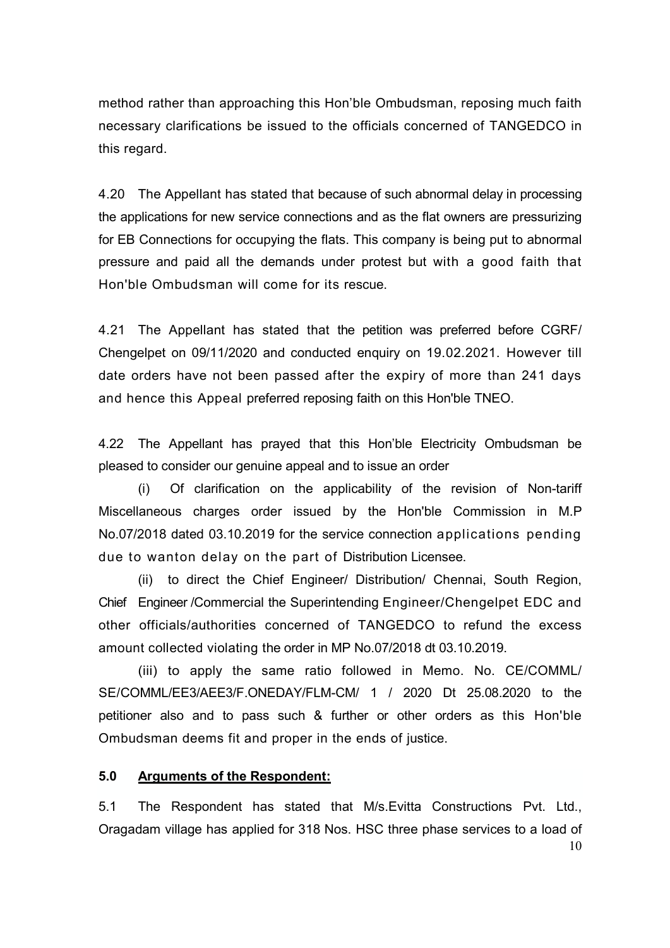method rather than approaching this Hon'ble Ombudsman, reposing much faith necessary clarifications be issued to the officials concerned of TANGEDCO in this regard.

4.20 The Appellant has stated that because of such abnormal delay in processing the applications for new service connections and as the flat owners are pressurizing for EB Connections for occupying the flats. This company is being put to abnormal pressure and paid all the demands under protest but with a good faith that Hon'ble Ombudsman will come for its rescue.

4.21 The Appellant has stated that the petition was preferred before CGRF/ Chengelpet on 09/11/2020 and conducted enquiry on 19.02.2021. However till date orders have not been passed after the expiry of more than 241 days and hence this Appeal preferred reposing faith on this Hon'ble TNEO.

4.22 The Appellant has prayed that this Hon'ble Electricity Ombudsman be pleased to consider our genuine appeal and to issue an order

 (i) Of clarification on the applicability of the revision of Non-tariff Miscellaneous charges order issued by the Hon'ble Commission in M.P No.07/2018 dated 03.10.2019 for the service connection applications pending due to wanton delay on the part of Distribution Licensee.

(ii) to direct the Chief Engineer/ Distribution/ Chennai, South Region, Chief Engineer /Commercial the Superintending Engineer/Chengelpet EDC and other officials/authorities concerned of TANGEDCO to refund the excess amount collected violating the order in MP No.07/2018 dt 03.10.2019.

(iii) to apply the same ratio followed in Memo. No. CE/COMML/ SE/COMML/EE3/AEE3/F.ONEDAY/FLM-CM/ 1 / 2020 Dt 25.08.2020 to the petitioner also and to pass such & further or other orders as this Hon'ble Ombudsman deems fit and proper in the ends of justice.

## **5.0 Arguments of the Respondent:**

5.1 The Respondent has stated that M/s.Evitta Constructions Pvt. Ltd., Oragadam village has applied for 318 Nos. HSC three phase services to a load of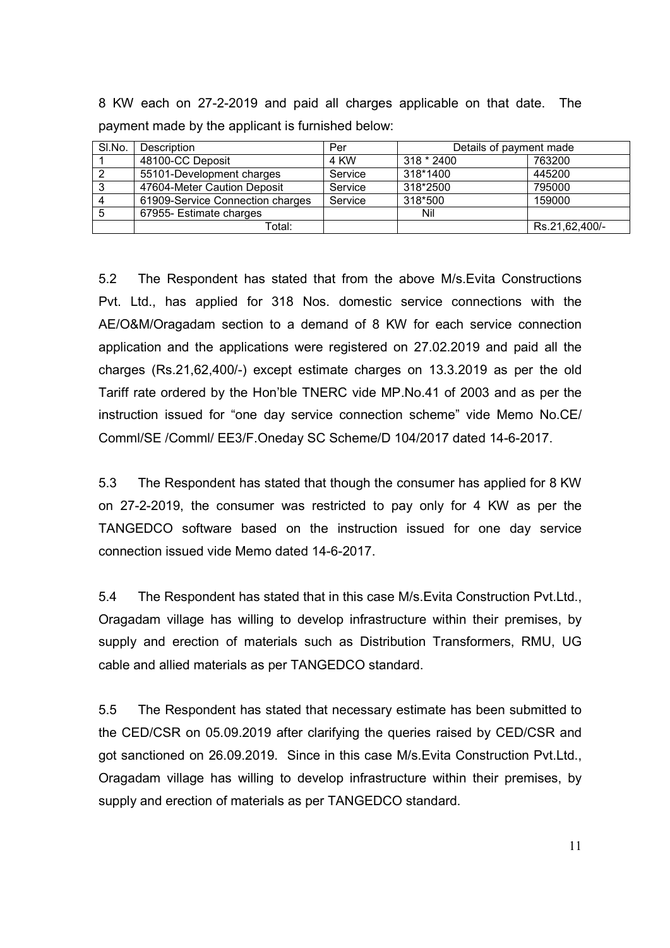SI.No. Description **Per** Per Details of payment made 1 | 48100-CC Deposit | 4 KW | 318 \* 2400 | 763200 2 | 55101-Development charges | Service | 318\*1400 | 445200 3 47604-Meter Caution Deposit Service 318\*2500 795000 4 61909-Service Connection charges Service 318\*500 159000 5 | 67955- Estimate charges | Nil

Total:  $\vert$  Rs.21,62,400/-

8 KW each on 27-2-2019 and paid all charges applicable on that date. The payment made by the applicant is furnished below:

5.2 The Respondent has stated that from the above M/s.Evita Constructions Pvt. Ltd., has applied for 318 Nos. domestic service connections with the AE/O&M/Oragadam section to a demand of 8 KW for each service connection application and the applications were registered on 27.02.2019 and paid all the charges (Rs.21,62,400/-) except estimate charges on 13.3.2019 as per the old Tariff rate ordered by the Hon'ble TNERC vide MP.No.41 of 2003 and as per the instruction issued for "one day service connection scheme" vide Memo No.CE/ Comml/SE /Comml/ EE3/F.Oneday SC Scheme/D 104/2017 dated 14-6-2017.

5.3 The Respondent has stated that though the consumer has applied for 8 KW on 27-2-2019, the consumer was restricted to pay only for 4 KW as per the TANGEDCO software based on the instruction issued for one day service connection issued vide Memo dated 14-6-2017.

5.4 The Respondent has stated that in this case M/s.Evita Construction Pvt.Ltd., Oragadam village has willing to develop infrastructure within their premises, by supply and erection of materials such as Distribution Transformers, RMU, UG cable and allied materials as per TANGEDCO standard.

5.5 The Respondent has stated that necessary estimate has been submitted to the CED/CSR on 05.09.2019 after clarifying the queries raised by CED/CSR and got sanctioned on 26.09.2019. Since in this case M/s.Evita Construction Pvt.Ltd., Oragadam village has willing to develop infrastructure within their premises, by supply and erection of materials as per TANGEDCO standard.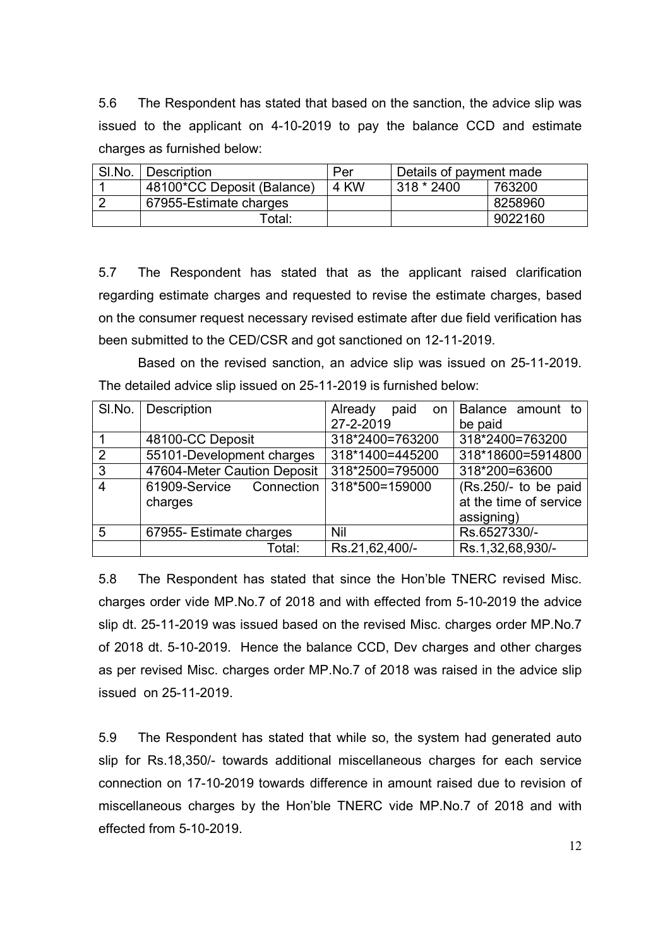5.6 The Respondent has stated that based on the sanction, the advice slip was issued to the applicant on 4-10-2019 to pay the balance CCD and estimate charges as furnished below:

| SI.No. | Description                | Per  | Details of payment made |         |
|--------|----------------------------|------|-------------------------|---------|
|        | 48100*CC Deposit (Balance) | 4 KW | 318 * 2400              | 763200  |
|        | 67955-Estimate charges     |      |                         | 8258960 |
|        | Гotal:                     |      |                         | 9022160 |

5.7 The Respondent has stated that as the applicant raised clarification regarding estimate charges and requested to revise the estimate charges, based on the consumer request necessary revised estimate after due field verification has been submitted to the CED/CSR and got sanctioned on 12-11-2019.

 Based on the revised sanction, an advice slip was issued on 25-11-2019. The detailed advice slip issued on 25-11-2019 is furnished below:

| SI.No.         | Description                         | Already<br>paid on | Balance amount to                                            |
|----------------|-------------------------------------|--------------------|--------------------------------------------------------------|
|                |                                     | 27-2-2019          | be paid                                                      |
|                | 48100-CC Deposit                    | 318*2400=763200    | 318*2400=763200                                              |
| 2              | 55101-Development charges           | 318*1400=445200    | 318*18600=5914800                                            |
| $\mathbf{3}$   | 47604-Meter Caution Deposit         | 318*2500=795000    | 318*200=63600                                                |
| $\overline{4}$ | 61909-Service Connection<br>charges | 318*500=159000     | (Rs.250/- to be paid<br>at the time of service<br>assigning) |
| 5              | 67955- Estimate charges             | Nil                | Rs.6527330/-                                                 |
|                | Total:                              | Rs.21,62,400/-     | Rs.1,32,68,930/-                                             |

5.8 The Respondent has stated that since the Hon'ble TNERC revised Misc. charges order vide MP.No.7 of 2018 and with effected from 5-10-2019 the advice slip dt. 25-11-2019 was issued based on the revised Misc. charges order MP.No.7 of 2018 dt. 5-10-2019. Hence the balance CCD, Dev charges and other charges as per revised Misc. charges order MP.No.7 of 2018 was raised in the advice slip issued on 25-11-2019.

5.9 The Respondent has stated that while so, the system had generated auto slip for Rs.18,350/- towards additional miscellaneous charges for each service connection on 17-10-2019 towards difference in amount raised due to revision of miscellaneous charges by the Hon'ble TNERC vide MP.No.7 of 2018 and with effected from 5-10-2019.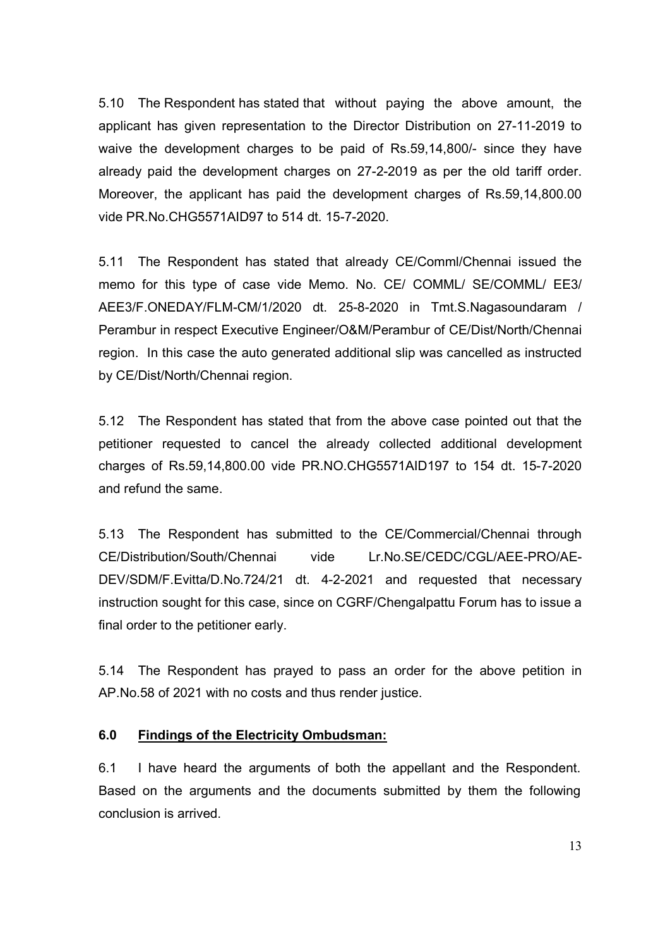5.10 The Respondent has stated that without paying the above amount, the applicant has given representation to the Director Distribution on 27-11-2019 to waive the development charges to be paid of Rs.59,14,800/- since they have already paid the development charges on 27-2-2019 as per the old tariff order. Moreover, the applicant has paid the development charges of Rs.59,14,800.00 vide PR.No.CHG5571AID97 to 514 dt. 15-7-2020.

5.11 The Respondent has stated that already CE/Comml/Chennai issued the memo for this type of case vide Memo. No. CE/ COMML/ SE/COMML/ EE3/ AEE3/F.ONEDAY/FLM-CM/1/2020 dt. 25-8-2020 in Tmt.S.Nagasoundaram / Perambur in respect Executive Engineer/O&M/Perambur of CE/Dist/North/Chennai region. In this case the auto generated additional slip was cancelled as instructed by CE/Dist/North/Chennai region.

5.12 The Respondent has stated that from the above case pointed out that the petitioner requested to cancel the already collected additional development charges of Rs.59,14,800.00 vide PR.NO.CHG5571AID197 to 154 dt. 15-7-2020 and refund the same.

5.13 The Respondent has submitted to the CE/Commercial/Chennai through CE/Distribution/South/Chennai vide Lr.No.SE/CEDC/CGL/AEE-PRO/AE-DEV/SDM/F.Evitta/D.No.724/21 dt. 4-2-2021 and requested that necessary instruction sought for this case, since on CGRF/Chengalpattu Forum has to issue a final order to the petitioner early.

5.14 The Respondent has prayed to pass an order for the above petition in AP.No.58 of 2021 with no costs and thus render justice.

### **6.0 Findings of the Electricity Ombudsman:**

6.1 I have heard the arguments of both the appellant and the Respondent. Based on the arguments and the documents submitted by them the following conclusion is arrived.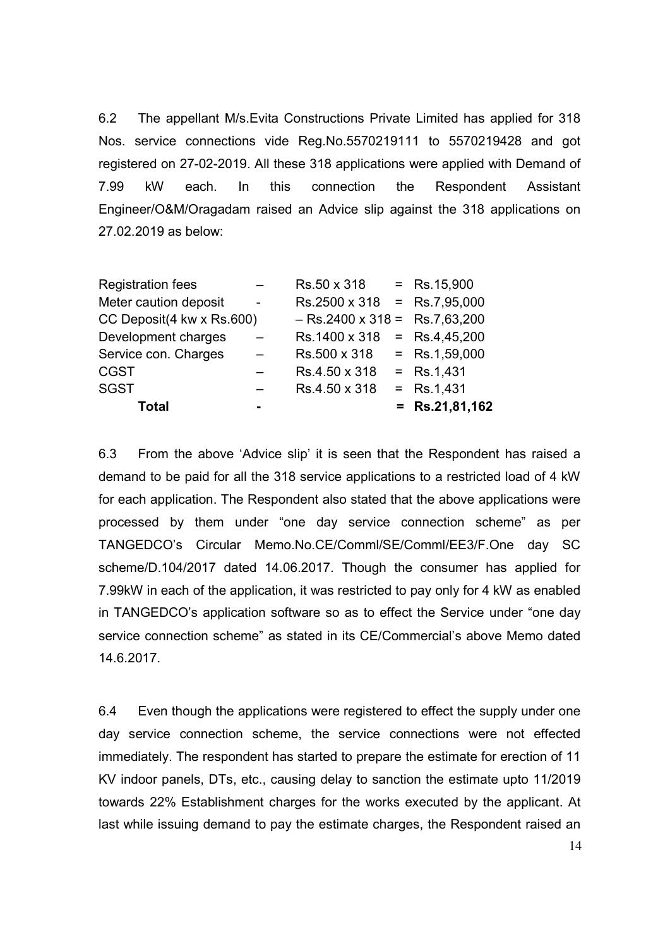6.2 The appellant M/s.Evita Constructions Private Limited has applied for 318 Nos. service connections vide Reg.No.5570219111 to 5570219428 and got registered on 27-02-2019. All these 318 applications were applied with Demand of 7.99 kW each. In this connection the Respondent Assistant Engineer/O&M/Oragadam raised an Advice slip against the 318 applications on 27.02.2019 as below:

| <b>Registration fees</b>  |                | Rs.50 x 318                        | $=$ Rs.15,900    |
|---------------------------|----------------|------------------------------------|------------------|
| Meter caution deposit     | $\blacksquare$ | $Rs.2500 \times 318 = Rs.7,95,000$ |                  |
| CC Deposit(4 kw x Rs.600) |                | $-$ Rs.2400 x 318 = Rs.7,63,200    |                  |
| Development charges       |                | $Rs.1400 \times 318 = Rs.4,45,200$ |                  |
| Service con. Charges      |                | Rs.500 x 318                       | $=$ Rs.1,59,000  |
| <b>CGST</b>               |                | Rs.4.50 x 318                      | $=$ Rs.1,431     |
| <b>SGST</b>               |                | Rs.4.50 x 318                      | $=$ Rs.1,431     |
| <b>Total</b>              |                |                                    | $=$ Rs.21,81,162 |

6.3 From the above 'Advice slip' it is seen that the Respondent has raised a demand to be paid for all the 318 service applications to a restricted load of 4 kW for each application. The Respondent also stated that the above applications were processed by them under "one day service connection scheme" as per TANGEDCO's Circular Memo.No.CE/Comml/SE/Comml/EE3/F.One day SC scheme/D.104/2017 dated 14.06.2017. Though the consumer has applied for 7.99kW in each of the application, it was restricted to pay only for 4 kW as enabled in TANGEDCO's application software so as to effect the Service under "one day service connection scheme" as stated in its CE/Commercial's above Memo dated 14.6.2017.

6.4 Even though the applications were registered to effect the supply under one day service connection scheme, the service connections were not effected immediately. The respondent has started to prepare the estimate for erection of 11 KV indoor panels, DTs, etc., causing delay to sanction the estimate upto 11/2019 towards 22% Establishment charges for the works executed by the applicant. At last while issuing demand to pay the estimate charges, the Respondent raised an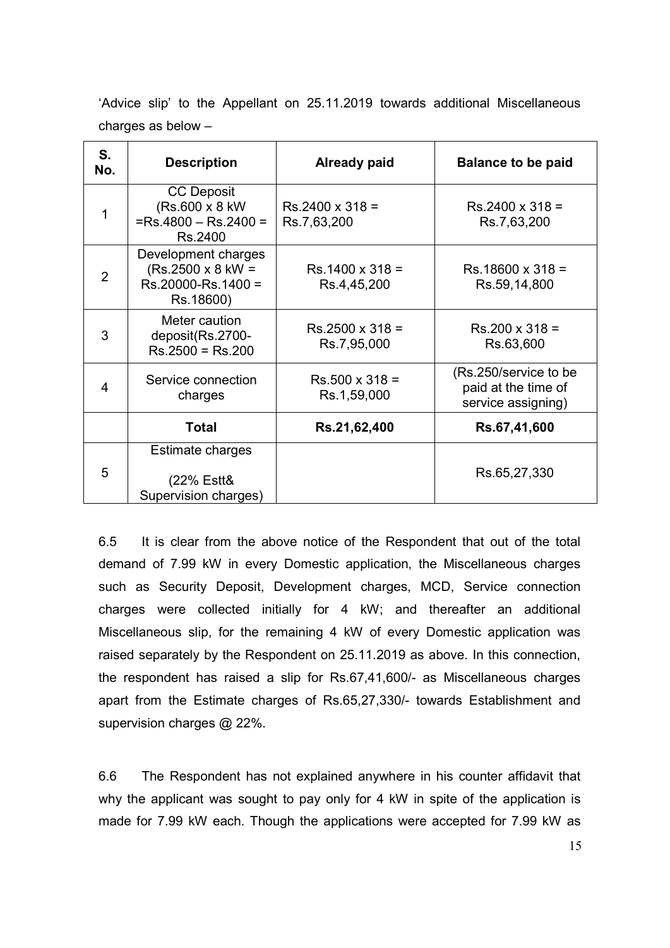'Advice slip' to the Appellant on 25.11.2019 towards additional Miscellaneous charges as below –

| S.<br>No.      | <b>Description</b>                                                                 | <b>Already paid</b>                   | <b>Balance to be paid</b>                                           |
|----------------|------------------------------------------------------------------------------------|---------------------------------------|---------------------------------------------------------------------|
| 1              | <b>CC Deposit</b><br>(Rs.600 x 8 kW)<br>$=Rs.4800 - Rs.2400 =$<br>Rs.2400          | $Rs.2400 \times 318 =$<br>Rs.7,63,200 | $Rs.2400 \times 318 =$<br>Rs.7,63,200                               |
| $\overline{2}$ | Development charges<br>$(Rs.2500 \times 8$ kW =<br>Rs.20000-Rs.1400 =<br>Rs.18600) | $Rs.1400 \times 318 =$<br>Rs.4,45,200 | $Rs.18600 \times 318 =$<br>Rs.59,14,800                             |
| 3              | Meter caution<br>deposit(Rs.2700-<br>$Rs.2500 = Rs.200$                            | $Rs.2500 \times 318 =$<br>Rs.7,95,000 | $Rs.200 \times 318 =$<br>Rs.63,600                                  |
| 4              | Service connection<br>charges                                                      | $Rs.500 \times 318 =$<br>Rs.1,59,000  | (Rs.250/service to be)<br>paid at the time of<br>service assigning) |
|                | <b>Total</b>                                                                       | Rs.21,62,400                          | Rs.67,41,600                                                        |
| 5              | Estimate charges<br>(22% Estt&<br>Supervision charges)                             |                                       | Rs.65,27,330                                                        |

6.5 It is clear from the above notice of the Respondent that out of the total demand of 7.99 kW in every Domestic application, the Miscellaneous charges such as Security Deposit, Development charges, MCD, Service connection charges were collected initially for 4 kW; and thereafter an additional Miscellaneous slip, for the remaining 4 kW of every Domestic application was raised separately by the Respondent on 25.11.2019 as above. In this connection, the respondent has raised a slip for Rs.67,41,600/- as Miscellaneous charges apart from the Estimate charges of Rs.65,27,330/- towards Establishment and supervision charges @ 22%.

6.6 The Respondent has not explained anywhere in his counter affidavit that why the applicant was sought to pay only for 4 kW in spite of the application is made for 7.99 kW each. Though the applications were accepted for 7.99 kW as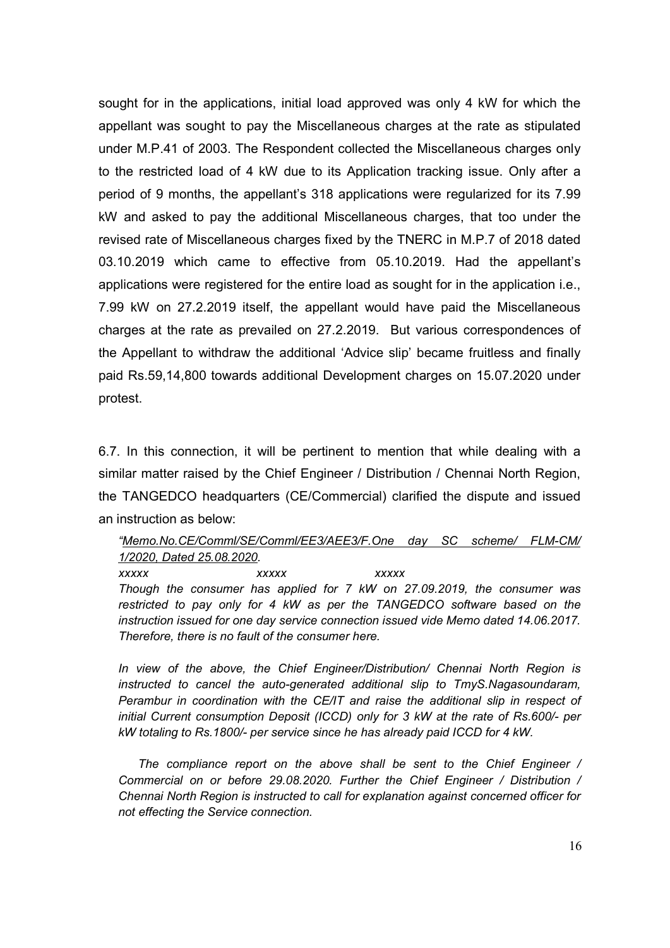sought for in the applications, initial load approved was only 4 kW for which the appellant was sought to pay the Miscellaneous charges at the rate as stipulated under M.P.41 of 2003. The Respondent collected the Miscellaneous charges only to the restricted load of 4 kW due to its Application tracking issue. Only after a period of 9 months, the appellant's 318 applications were regularized for its 7.99 kW and asked to pay the additional Miscellaneous charges, that too under the revised rate of Miscellaneous charges fixed by the TNERC in M.P.7 of 2018 dated 03.10.2019 which came to effective from 05.10.2019. Had the appellant's applications were registered for the entire load as sought for in the application i.e., 7.99 kW on 27.2.2019 itself, the appellant would have paid the Miscellaneous charges at the rate as prevailed on 27.2.2019. But various correspondences of the Appellant to withdraw the additional 'Advice slip' became fruitless and finally paid Rs.59,14,800 towards additional Development charges on 15.07.2020 under protest.

6.7. In this connection, it will be pertinent to mention that while dealing with a similar matter raised by the Chief Engineer / Distribution / Chennai North Region, the TANGEDCO headquarters (CE/Commercial) clarified the dispute and issued an instruction as below:

#### *"Memo.No.CE/Comml/SE/Comml/EE3/AEE3/F.One day SC scheme/ FLM-CM/ 1/2020, Dated 25.08.2020.*

*xxxxx xxxxx xxxxx Though the consumer has applied for 7 kW on 27.09.2019, the consumer was restricted to pay only for 4 kW as per the TANGEDCO software based on the instruction issued for one day service connection issued vide Memo dated 14.06.2017. Therefore, there is no fault of the consumer here.* 

*In view of the above, the Chief Engineer/Distribution/ Chennai North Region is instructed to cancel the auto-generated additional slip to TmyS.Nagasoundaram, Perambur in coordination with the CE/IT and raise the additional slip in respect of initial Current consumption Deposit (ICCD) only for 3 kW at the rate of Rs.600/- per kW totaling to Rs.1800/- per service since he has already paid ICCD for 4 kW.* 

 *The compliance report on the above shall be sent to the Chief Engineer / Commercial on or before 29.08.2020. Further the Chief Engineer / Distribution / Chennai North Region is instructed to call for explanation against concerned officer for not effecting the Service connection.*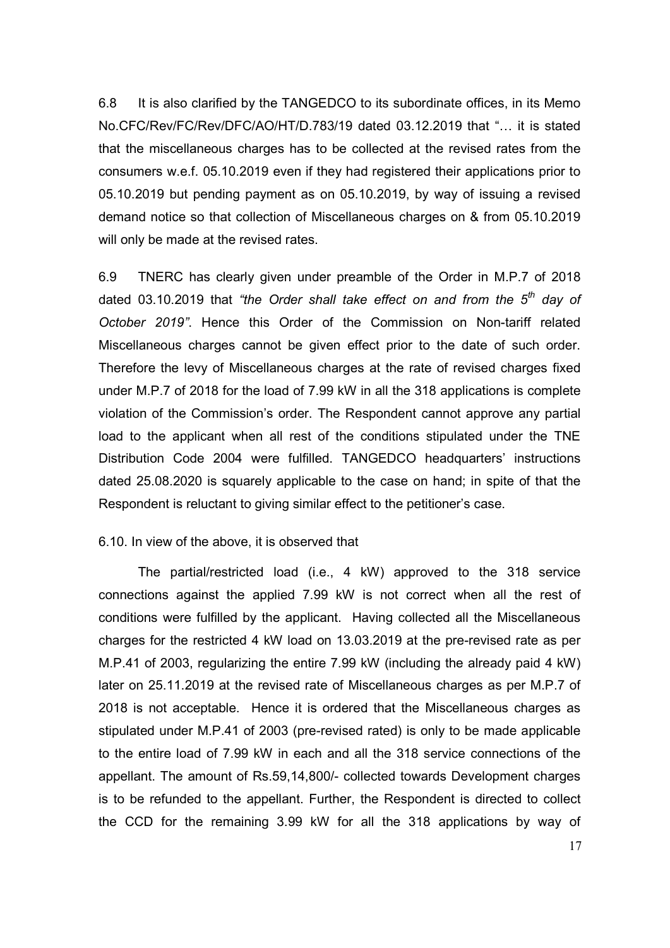6.8 It is also clarified by the TANGEDCO to its subordinate offices, in its Memo No.CFC/Rev/FC/Rev/DFC/AO/HT/D.783/19 dated 03.12.2019 that "... it is stated that the miscellaneous charges has to be collected at the revised rates from the consumers w.e.f. 05.10.2019 even if they had registered their applications prior to 05.10.2019 but pending payment as on 05.10.2019, by way of issuing a revised demand notice so that collection of Miscellaneous charges on & from 05.10.2019 will only be made at the revised rates.

6.9 TNERC has clearly given under preamble of the Order in M.P.7 of 2018 dated 03.10.2019 that *"the Order shall take effect on and from the 5th day of October 2019"*. Hence this Order of the Commission on Non-tariff related Miscellaneous charges cannot be given effect prior to the date of such order. Therefore the levy of Miscellaneous charges at the rate of revised charges fixed under M.P.7 of 2018 for the load of 7.99 kW in all the 318 applications is complete violation of the Commission's order. The Respondent cannot approve any partial load to the applicant when all rest of the conditions stipulated under the TNE Distribution Code 2004 were fulfilled. TANGEDCO headquarters' instructions dated 25.08.2020 is squarely applicable to the case on hand; in spite of that the Respondent is reluctant to giving similar effect to the petitioner's case.

#### 6.10. In view of the above, it is observed that

The partial/restricted load (i.e., 4 kW) approved to the 318 service connections against the applied 7.99 kW is not correct when all the rest of conditions were fulfilled by the applicant. Having collected all the Miscellaneous charges for the restricted 4 kW load on 13.03.2019 at the pre-revised rate as per M.P.41 of 2003, regularizing the entire 7.99 kW (including the already paid 4 kW) later on 25.11.2019 at the revised rate of Miscellaneous charges as per M.P.7 of 2018 is not acceptable. Hence it is ordered that the Miscellaneous charges as stipulated under M.P.41 of 2003 (pre-revised rated) is only to be made applicable to the entire load of 7.99 kW in each and all the 318 service connections of the appellant. The amount of Rs.59,14,800/- collected towards Development charges is to be refunded to the appellant. Further, the Respondent is directed to collect the CCD for the remaining 3.99 kW for all the 318 applications by way of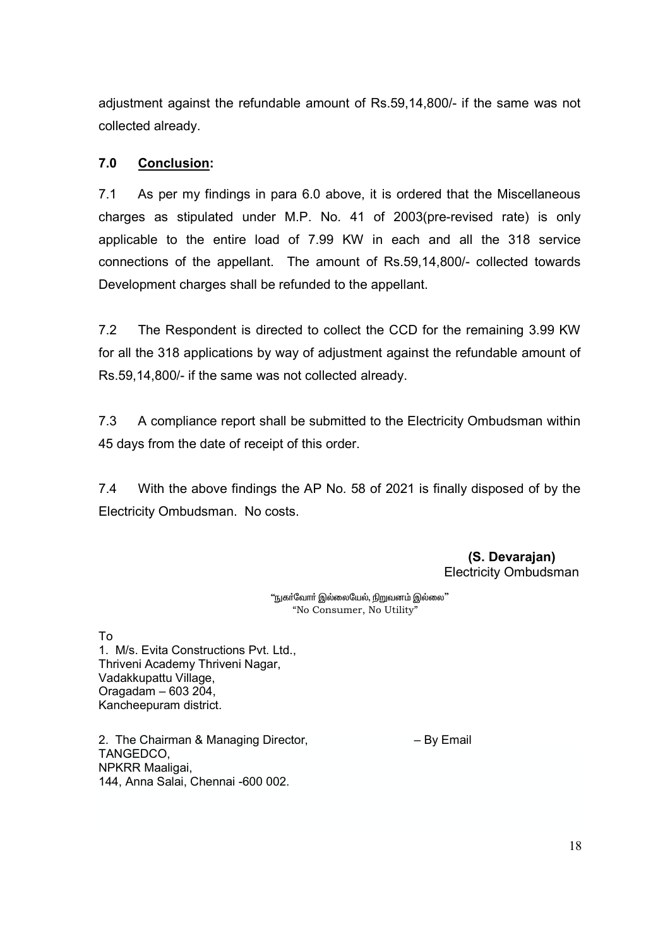adjustment against the refundable amount of Rs.59,14,800/- if the same was not collected already.

# **7.0 Conclusion:**

7.1 As per my findings in para 6.0 above, it is ordered that the Miscellaneous charges as stipulated under M.P. No. 41 of 2003(pre-revised rate) is only applicable to the entire load of 7.99 KW in each and all the 318 service connections of the appellant. The amount of Rs.59,14,800/- collected towards Development charges shall be refunded to the appellant.

7.2 The Respondent is directed to collect the CCD for the remaining 3.99 KW for all the 318 applications by way of adjustment against the refundable amount of Rs.59,14,800/- if the same was not collected already.

7.3 A compliance report shall be submitted to the Electricity Ombudsman within 45 days from the date of receipt of this order.

7.4 With the above findings the AP No. 58 of 2021 is finally disposed of by the Electricity Ombudsman. No costs.

> **(S. Devarajan)**  Electricity Ombudsman

"நுகா்வோா் இல்லையேல், <u>நிறு</u>வனம் இல்லை" "No Consumer, No Utility"

To 1. M/s. Evita Constructions Pvt. Ltd., Thriveni Academy Thriveni Nagar, Vadakkupattu Village, Oragadam – 603 204, Kancheepuram district.

2. The Chairman & Managing Director, The Chairman & Managing Director, TANGEDCO, NPKRR Maaligai, 144, Anna Salai, Chennai -600 002.